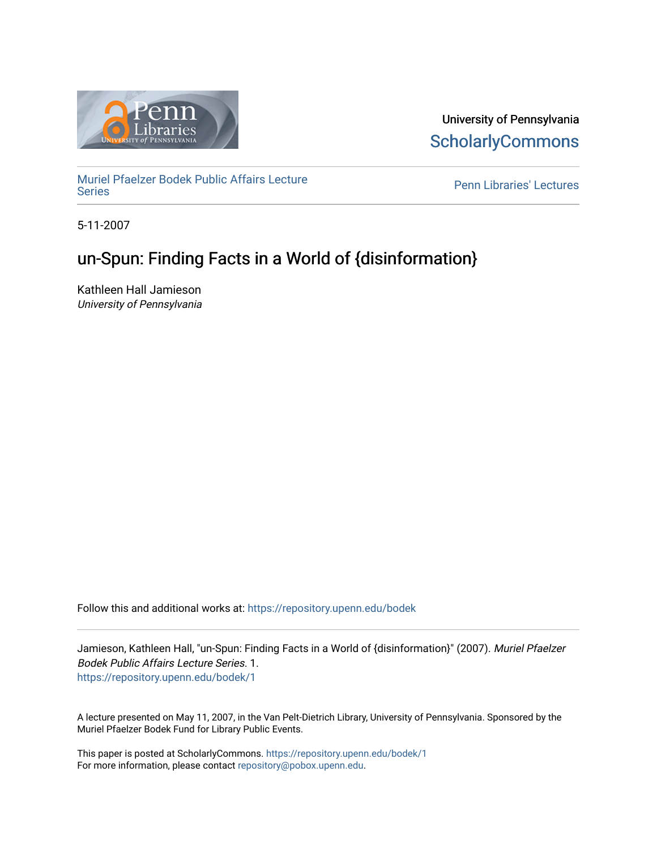

University of Pennsylvania **ScholarlyCommons** 

[Muriel Pfaelzer Bodek Public Affairs Lecture](https://repository.upenn.edu/bodek) 

Penn Libraries' Lectures

5-11-2007

# un-Spun: Finding Facts in a World of {disinformation}

Kathleen Hall Jamieson University of Pennsylvania

Follow this and additional works at: [https://repository.upenn.edu/bodek](https://repository.upenn.edu/bodek?utm_source=repository.upenn.edu%2Fbodek%2F1&utm_medium=PDF&utm_campaign=PDFCoverPages) 

Jamieson, Kathleen Hall, "un-Spun: Finding Facts in a World of {disinformation}" (2007). Muriel Pfaelzer Bodek Public Affairs Lecture Series. 1. [https://repository.upenn.edu/bodek/1](https://repository.upenn.edu/bodek/1?utm_source=repository.upenn.edu%2Fbodek%2F1&utm_medium=PDF&utm_campaign=PDFCoverPages) 

A lecture presented on May 11, 2007, in the Van Pelt-Dietrich Library, University of Pennsylvania. Sponsored by the Muriel Pfaelzer Bodek Fund for Library Public Events.

This paper is posted at ScholarlyCommons.<https://repository.upenn.edu/bodek/1> For more information, please contact [repository@pobox.upenn.edu.](mailto:repository@pobox.upenn.edu)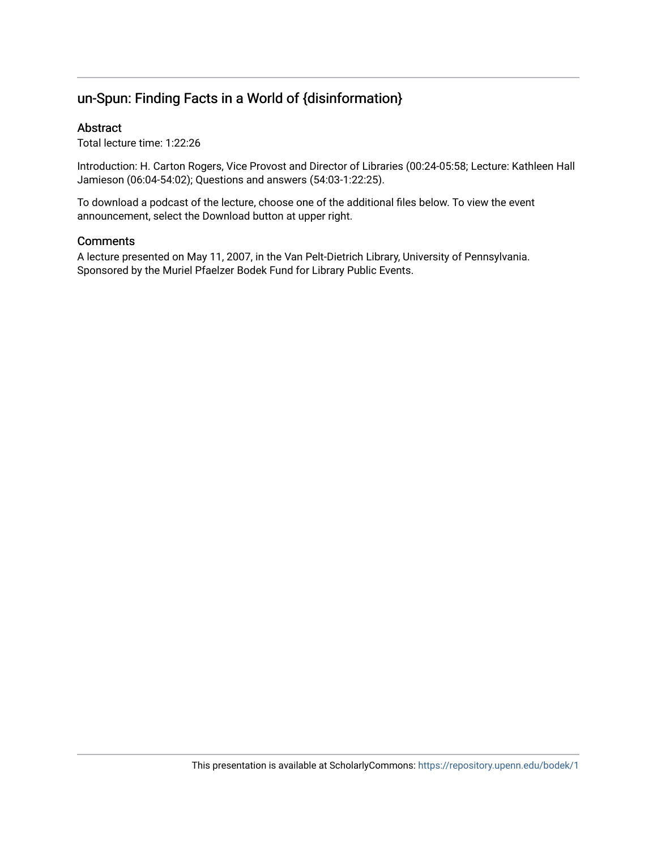## un-Spun: Finding Facts in a World of {disinformation}

#### Abstract

Total lecture time: 1:22:26

Introduction: H. Carton Rogers, Vice Provost and Director of Libraries (00:24-05:58; Lecture: Kathleen Hall Jamieson (06:04-54:02); Questions and answers (54:03-1:22:25).

To download a podcast of the lecture, choose one of the additional files below. To view the event announcement, select the Download button at upper right.

#### **Comments**

A lecture presented on May 11, 2007, in the Van Pelt-Dietrich Library, University of Pennsylvania. Sponsored by the Muriel Pfaelzer Bodek Fund for Library Public Events.